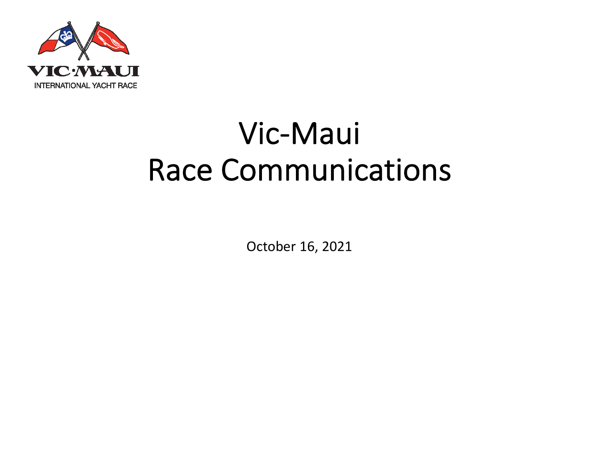

### Vic-Maui Race Communications

October 16, 2021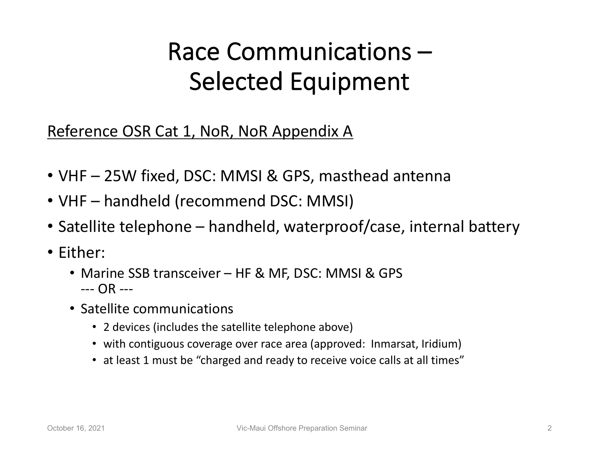#### Race Communications – Selected Equipment

#### Reference OSR Cat 1, NoR, NoR Appendix A

- VHF 25W fixed, DSC: MMSI & GPS, masthead antenna
- VHF handheld (recommend DSC: MMSI)
- Satellite telephone handheld, waterproof/case, internal battery
- Either:
	- Marine SSB transceiver HF & MF, DSC: MMSI & GPS --- OR ---
	- Satellite communications
		- 2 devices (includes the satellite telephone above)
		- with contiguous coverage over race area (approved: Inmarsat, Iridium)
		- at least 1 must be "charged and ready to receive voice calls at all times"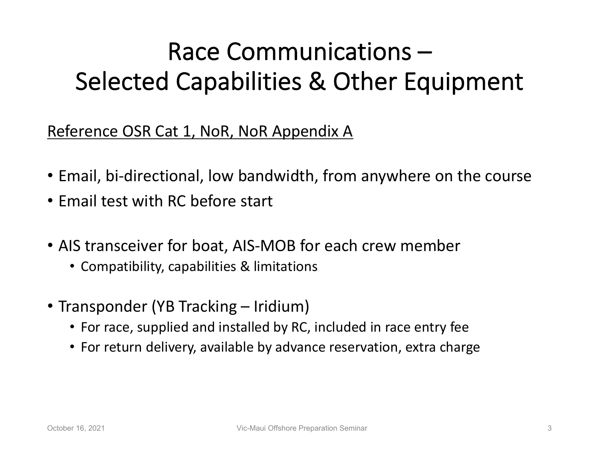### Race Communications – Selected Capabilities & Other Equipment

Reference OSR Cat 1, NoR, NoR Appendix A

- Email, bi-directional, low bandwidth, from anywhere on the course
- Email test with RC before start
- AIS transceiver for boat, AIS-MOB for each crew member
	- Compatibility, capabilities & limitations
- Transponder (YB Tracking Iridium)
	- For race, supplied and installed by RC, included in race entry fee
	- For return delivery, available by advance reservation, extra charge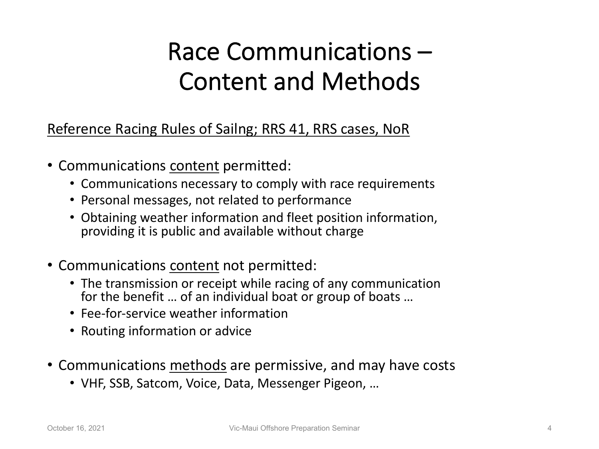#### Race Communications – Content and Methods

Reference Racing Rules of Sailng; RRS 41, RRS cases, NoR

- Communications content permitted:
	- Communications necessary to comply with race requirements
	- Personal messages, not related to performance
	- Obtaining weather information and fleet position information, providing it is public and available without charge
- Communications content not permitted:
	- The transmission or receipt while racing of any communication for the benefit … of an individual boat or group of boats …
	- Fee-for-service weather information
	- Routing information or advice
- Communications methods are permissive, and may have costs
	- VHF, SSB, Satcom, Voice, Data, Messenger Pigeon, …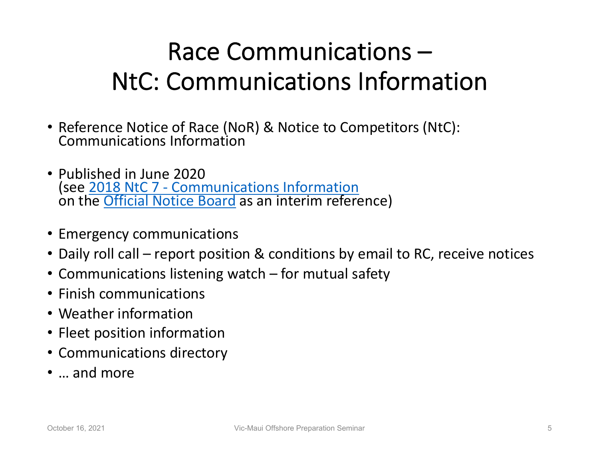### Race Communications – NtC: Communications Information

- Reference Notice of Race (NoR) & Notice to Competitors (NtC): Communications Information
- Published in June 2020 (see 2018 NtC 7 - Communications Information on the **Official Notice Board** as an interim reference)
- Emergency communications
- Daily roll call report position & conditions by email to RC, receive not
- Communications listening watch for mutual safety
- Finish communications
- Weather information
- Fleet position information
- Communications directory
- … and more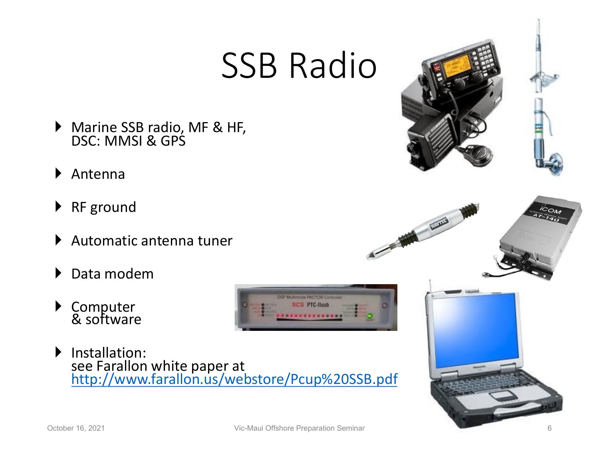## SSB Radio

- } Marine SSB radio, MF & HF, DSC: MMSI & GPS
- } [Antenna](http://www.farallon.us/webstore/Pcup%20SSB.pdf)
- ▶ RF ground
- } Automatic antenna tuner
- Data modem
- } Computer & software
- } Installation: see Farallon white paper at<br>http://www.farallon.us/webstore/Pcup%20SSB.pdf



FOR THE PARTY

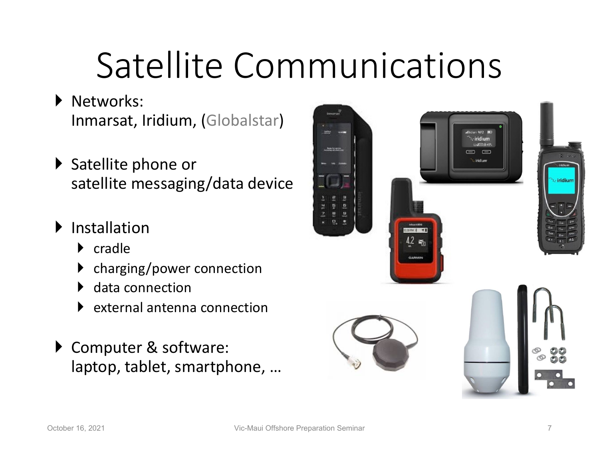# Satellite Communications

- } Networks: Inmarsat, Iridium, (Globalstar)
- ▶ Satellite phone or satellite messaging/data device
- } Installation
	- } cradle
	- charging/power connection
	- data connection
	- } external antenna connection
- ▶ Computer & software: laptop, tablet, smartphone, …